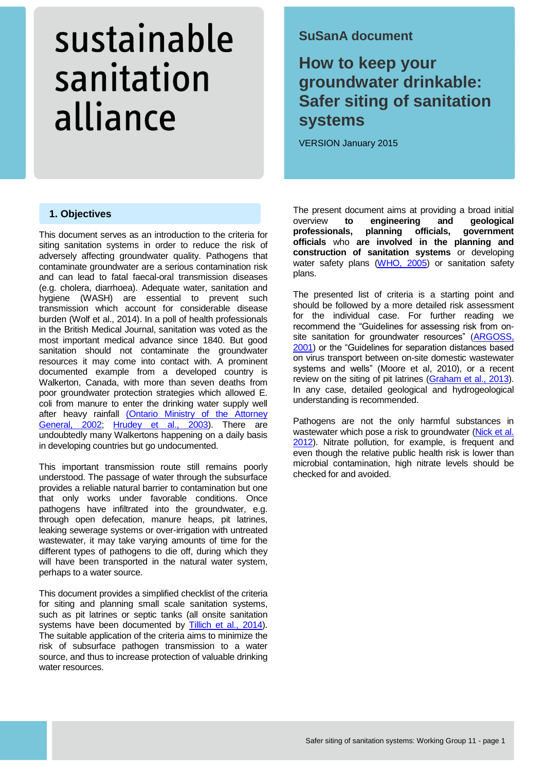## **SuSanA document**

## **How to keep your groundwater drinkable: Safer siting of sanitation systems**

VERSION January 2015

## **1. Objectives**

This document serves as an introduction to the criteria for siting sanitation systems in order to reduce the risk of adversely affecting groundwater quality. Pathogens that contaminate groundwater are a serious contamination risk and can lead to fatal faecal-oral transmission diseases (e.g. cholera, diarrhoea). Adequate water, sanitation and hygiene (WASH) are essential to prevent such transmission which account for considerable disease burden (Wolf et al., 2014). In a poll of health professionals in the British Medical Journal, sanitation was voted as the most important medical advance since 1840. But good sanitation should not contaminate the groundwater resources it may come into contact with. A prominent documented example from a developed country is Walkerton, Canada, with more than seven deaths from poor groundwater protection strategies which allowed E. coli from manure to enter the drinking water supply well after heavy rainfall [\(Ontario Ministry of the Attorney](http://www.attorneygeneral.jus.gov.on.ca/english/about/pubs/walkerton/part1/)  [General, 2002;](http://www.attorneygeneral.jus.gov.on.ca/english/about/pubs/walkerton/part1/) [Hrudey et al., 2003\)](http://www.ncbi.nlm.nih.gov/pubmed/12638998). There are undoubtedly many Walkertons happening on a daily basis in developing countries but go undocumented.

This important transmission route still remains poorly understood. The passage of water through the subsurface provides a reliable natural barrier to contamination but one that only works under favorable conditions. Once pathogens have infiltrated into the groundwater, e.g. through open defecation, manure heaps, pit latrines, leaking sewerage systems or over-irrigation with untreated wastewater, it may take varying amounts of time for the different types of pathogens to die off, during which they will have been transported in the natural water system, perhaps to a water source.

This document provides a simplified checklist of the criteria for siting and planning small scale sanitation systems, such as pit latrines or septic tanks (all onsite sanitation systems have been documented by [Tillich et al., 2014\)](http://www.susana.org/en/resources/library/details/454). The suitable application of the criteria aims to minimize the risk of subsurface pathogen transmission to a water source, and thus to increase protection of valuable drinking water resources.

The present document aims at providing a broad initial<br>overview **to engineering and geological** overview **to engineering** and **professionals, planning officials, government officials** who **are involved in the planning and construction of sanitation systems** or developing water safety plans [\(WHO, 2005\)](http://www.who.int/water_sanitation_health/dwq/wsp0506/en/) or sanitation safety plans.

The presented list of criteria is a starting point and should be followed by a more detailed risk assessment for the individual case. For further reading we recommend the "Guidelines for assessing risk from onsite sanitation for groundwater resources" (ARGOSS, [2001\)](http://www.bgs.ac.uk/downloads/start.cfm?id=323) or the "Guidelines for separation distances based on virus transport between on-site domestic wastewater systems and wells" (Moore et al, 2010), or a recent review on the siting of pit latrines (Graham [et al., 2013\)](http://dx.doi.org/10.1289/ehp.1206028). In any case, detailed geological and hydrogeological understanding is recommended.

Pathogens are not the only harmful substances in wastewater which pose a risk to groundwater (Nick et al. [2012\)](http://www.susana.org/en/resources/library/details/98). Nitrate pollution, for example, is frequent and even though the relative public health risk is lower than microbial contamination, high nitrate levels should be checked for and avoided.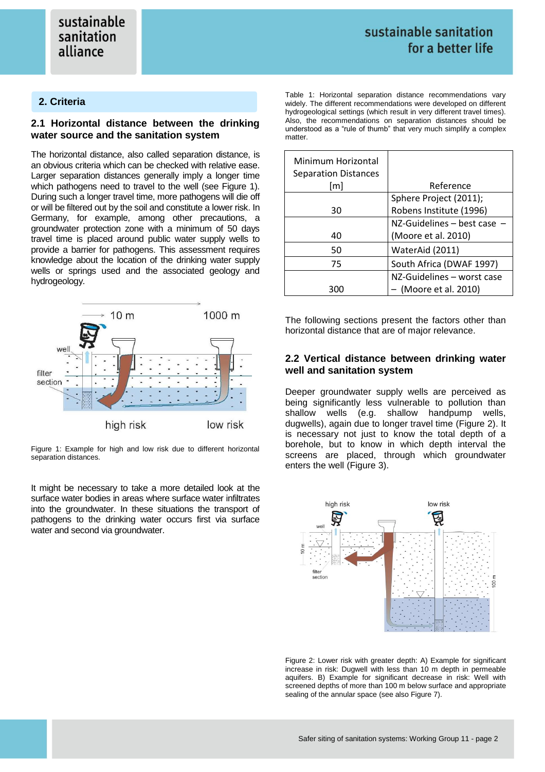## **2. Criteria**

## **2.1 Horizontal distance between the drinking water source and the sanitation system**

The horizontal distance, also called separation distance, is an obvious criteria which can be checked with relative ease. Larger separation distances generally imply a longer time which pathogens need to travel to the well (see Figure 1). During such a longer travel time, more pathogens will die off or will be filtered out by the soil and constitute a lower risk. In Germany, for example, among other precautions, a groundwater protection zone with a minimum of 50 days travel time is placed around public water supply wells to provide a barrier for pathogens. This assessment requires knowledge about the location of the drinking water supply wells or springs used and the associated geology and hydrogeology.



Figure 1: Example for high and low risk due to different horizontal separation distances.

It might be necessary to take a more detailed look at the surface water bodies in areas where surface water infiltrates into the groundwater. In these situations the transport of pathogens to the drinking water occurs first via surface water and second via groundwater.

Table 1: Horizontal separation distance recommendations vary widely. The different recommendations were developed on different hydrogeological settings (which result in very different travel times). Also, the recommendations on separation distances should be understood as a "rule of thumb" that very much simplify a complex matter.

| Minimum Horizontal<br><b>Separation Distances</b> |                            |
|---------------------------------------------------|----------------------------|
| [m]                                               | Reference                  |
|                                                   | Sphere Project (2011);     |
| 30                                                | Robens Institute (1996)    |
|                                                   | NZ-Guidelines - best case  |
| 40                                                | (Moore et al. 2010)        |
| 50                                                | WaterAid (2011)            |
| 75                                                | South Africa (DWAF 1997)   |
|                                                   | NZ-Guidelines - worst case |
| จกด                                               | - (Moore et al. 2010)      |

The following sections present the factors other than horizontal distance that are of major relevance.

## **2.2 Vertical distance between drinking water well and sanitation system**

Deeper groundwater supply wells are perceived as being significantly less vulnerable to pollution than shallow wells (e.g. shallow handpump wells, dugwells), again due to longer travel time (Figure 2). It is necessary not just to know the total depth of a borehole, but to know in which depth interval the screens are placed, through which groundwater enters the well (Figure 3).



Figure 2: Lower risk with greater depth: A) Example for significant increase in risk: Dugwell with less than 10 m depth in permeable aquifers. B) Example for significant decrease in risk: Well with screened depths of more than 100 m below surface and appropriate sealing of the annular space (see also Figure 7).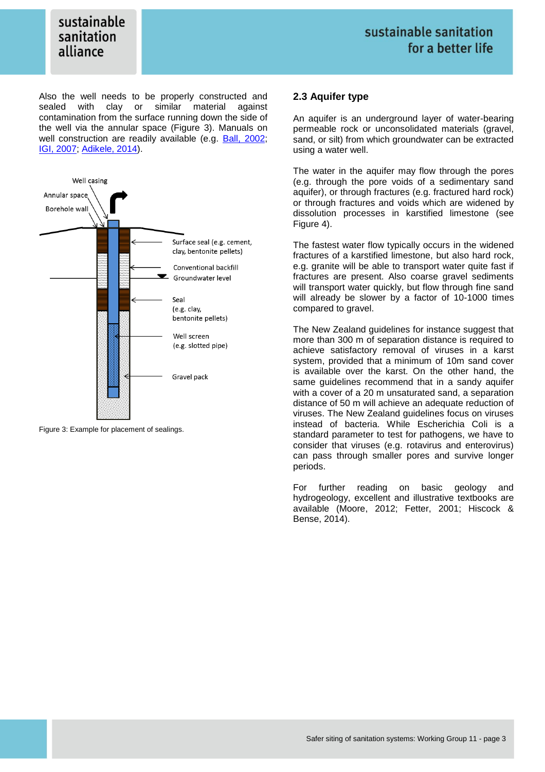Also the well needs to be properly constructed and sealed with clay or similar material against contamination from the surface running down the side of the well via the annular space (Figure 3). Manuals on well construction are readily available (e.g. [Ball, 2002;](http://www.skat.ch/publications/prarticle.2005-09-29.5069774463/prarticle.2006-11-02.8410562785) [IGI, 2007;](http://igi.ie/publications/codes-guidelines.htm) [Adikele, 2014\)](http://www.rural-water-supply.net/en/resources-top/details/392).



Figure 3: Example for placement of sealings.

### **2.3 Aquifer type**

An aquifer is an underground layer of water-bearing permeable rock or unconsolidated materials (gravel, sand, or silt) from which groundwater can be extracted using a water well.

The water in the aquifer may flow through the pores (e.g. through the pore voids of a sedimentary sand aquifer), or through fractures (e.g. fractured hard rock) or through fractures and voids which are widened by dissolution processes in karstified limestone (see Figure 4).

The fastest water flow typically occurs in the widened fractures of a karstified limestone, but also hard rock, e.g. granite will be able to transport water quite fast if fractures are present. Also coarse gravel sediments will transport water quickly, but flow through fine sand will already be slower by a factor of 10-1000 times compared to gravel.

The New Zealand guidelines for instance suggest that more than 300 m of separation distance is required to achieve satisfactory removal of viruses in a karst system, provided that a minimum of 10m sand cover is available over the karst. On the other hand, the same guidelines recommend that in a sandy aquifer with a cover of a 20 m unsaturated sand, a separation distance of 50 m will achieve an adequate reduction of viruses. The New Zealand guidelines focus on viruses instead of bacteria. While Escherichia Coli is a standard parameter to test for pathogens, we have to consider that viruses (e.g. rotavirus and enterovirus) can pass through smaller pores and survive longer periods.

For further reading on basic geology and hydrogeology, excellent and illustrative textbooks are available (Moore, 2012; Fetter, 2001; Hiscock & Bense, 2014).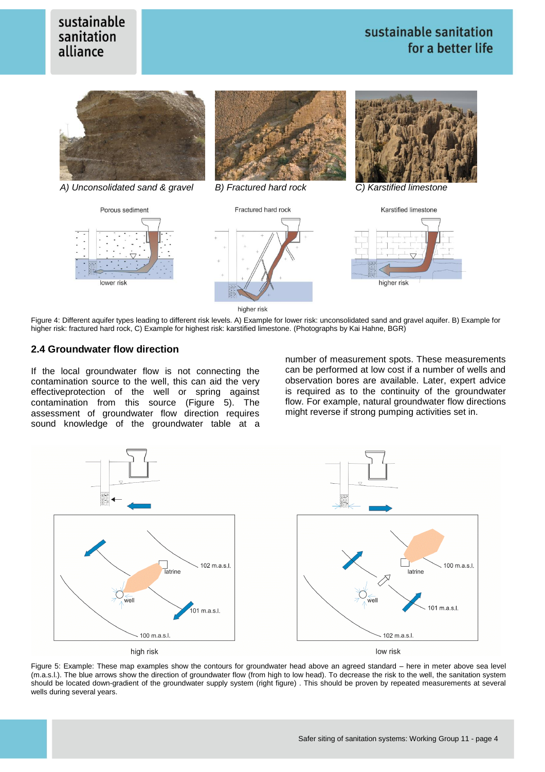## sustainable sanitation for a better life





higher risk

Figure 4: Different aquifer types leading to different risk levels. A) Example for lower risk: unconsolidated sand and gravel aquifer. B) Example for higher risk: fractured hard rock, C) Example for highest risk: karstified limestone. (Photographs by Kai Hahne, BGR)

## **2.4 Groundwater flow direction**

If the local groundwater flow is not connecting the contamination source to the well, this can aid the very effectiveprotection of the well or spring against contamination from this source (Figure 5). The assessment of groundwater flow direction requires sound knowledge of the groundwater table at a

number of measurement spots. These measurements can be performed at low cost if a number of wells and observation bores are available. Later, expert advice is required as to the continuity of the groundwater flow. For example, natural groundwater flow directions might reverse if strong pumping activities set in.



Figure 5: Example: These map examples show the contours for groundwater head above an agreed standard – here in meter above sea level (m.a.s.l.). The blue arrows show the direction of groundwater flow (from high to low head). To decrease the risk to the well, the sanitation system should be located down-gradient of the groundwater supply system (right figure) . This should be proven by repeated measurements at several wells during several years.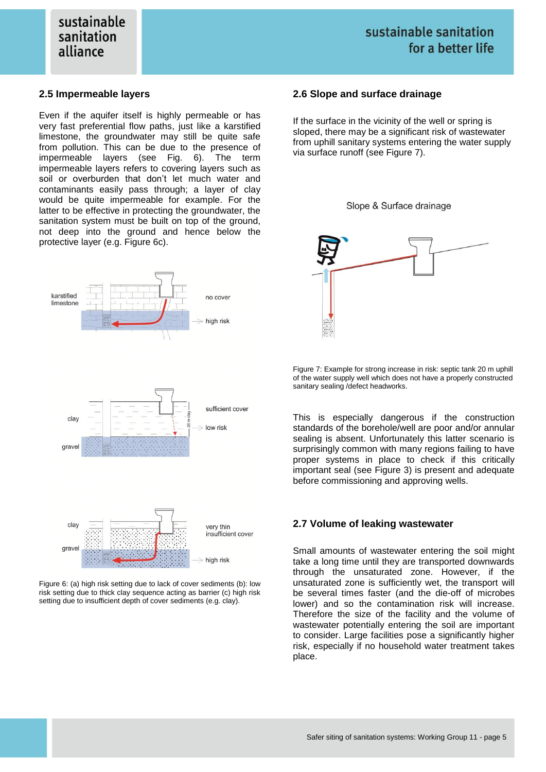### **2.5 Impermeable layers**

Even if the aquifer itself is highly permeable or has very fast preferential flow paths, just like a karstified limestone, the groundwater may still be quite safe from pollution. This can be due to the presence of impermeable layers (see Fig. 6). The term impermeable layers refers to covering layers such as soil or overburden that don't let much water and contaminants easily pass through; a layer of clay would be quite impermeable for example. For the latter to be effective in protecting the groundwater, the sanitation system must be built on top of the ground, not deep into the ground and hence below the protective layer (e.g. Figure 6c).



Figure 6: (a) high risk setting due to lack of cover sediments (b): low risk setting due to thick clay sequence acting as barrier (c) high risk setting due to insufficient depth of cover sediments (e.g. clay).

#### **2.6 Slope and surface drainage**

If the surface in the vicinity of the well or spring is sloped, there may be a significant risk of wastewater from uphill sanitary systems entering the water supply via surface runoff (see Figure 7).





Figure 7: Example for strong increase in risk: septic tank 20 m uphill of the water supply well which does not have a properly constructed sanitary sealing /defect headworks.

This is especially dangerous if the construction standards of the borehole/well are poor and/or annular sealing is absent. Unfortunately this latter scenario is surprisingly common with many regions failing to have proper systems in place to check if this critically important seal (see Figure 3) is present and adequate before commissioning and approving wells.

#### **2.7 Volume of leaking wastewater**

Small amounts of wastewater entering the soil might take a long time until they are transported downwards through the unsaturated zone. However, if the unsaturated zone is sufficiently wet, the transport will be several times faster (and the die-off of microbes lower) and so the contamination risk will increase. Therefore the size of the facility and the volume of wastewater potentially entering the soil are important to consider. Large facilities pose a significantly higher risk, especially if no household water treatment takes place.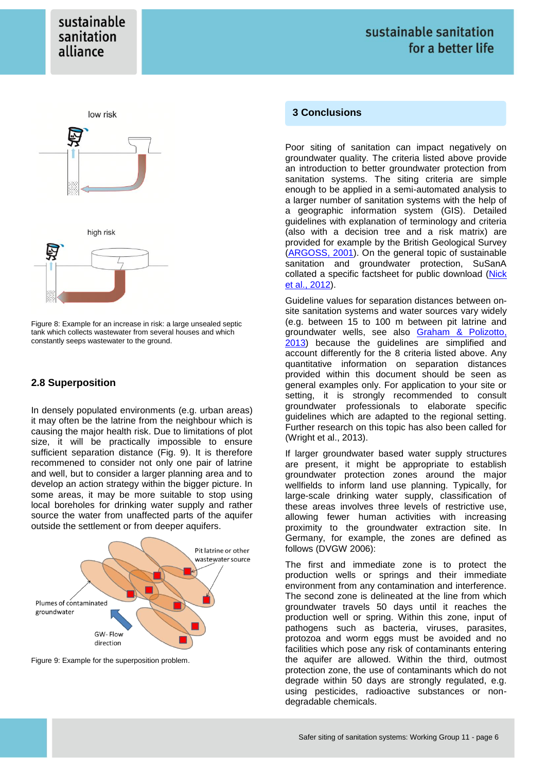



Figure 8: Example for an increase in risk: a large unsealed septic tank which collects wastewater from several houses and which constantly seeps wastewater to the ground.

## **2.8 Superposition**

In densely populated environments (e.g. urban areas) it may often be the latrine from the neighbour which is causing the major health risk. Due to limitations of plot size, it will be practically impossible to ensure sufficient separation distance (Fig. 9). It is therefore recommened to consider not only one pair of latrine and well, but to consider a larger planning area and to develop an action strategy within the bigger picture. In some areas, it may be more suitable to stop using local boreholes for drinking water supply and rather source the water from unaffected parts of the aquifer outside the settlement or from deeper aquifers.



Figure 9: Example for the superposition problem.

## **3 Conclusions**

Poor siting of sanitation can impact negatively on groundwater quality. The criteria listed above provide an introduction to better groundwater protection from sanitation systems. The siting criteria are simple enough to be applied in a semi-automated analysis to a larger number of sanitation systems with the help of a geographic information system (GIS). Detailed guidelines with explanation of terminology and criteria (also with a decision tree and a risk matrix) are provided for example by the British Geological Survey [\(ARGOSS, 2001\)](http://www.bgs.ac.uk/downloads/start.cfm?id=323). On the general topic of sustainable sanitation and groundwater protection, SuSanA collated a specific factsheet for public download [\(Nick](http://www.susana.org/en/resources/library/details/98)  et al., [2012\)](http://www.susana.org/en/resources/library/details/98).

Guideline values for separation distances between onsite sanitation systems and water sources vary widely (e.g. between 15 to 100 m between pit latrine and groundwater wells, see also [Graham & Polizotto,](http://dx.doi.org/10.1289/ehp.1206028) [2013\)](http://dx.doi.org/10.1289/ehp.1206028) because the guidelines are simplified and account differently for the 8 criteria listed above. Any quantitative information on separation distances provided within this document should be seen as general examples only. For application to your site or setting, it is strongly recommended to consult groundwater professionals to elaborate specific guidelines which are adapted to the regional setting. Further research on this topic has also been called for (Wright et al., 2013).

If larger groundwater based water supply structures are present, it might be appropriate to establish groundwater protection zones around the major wellfields to inform land use planning. Typically, for large-scale drinking water supply, classification of these areas involves three levels of restrictive use, allowing fewer human activities with increasing proximity to the groundwater extraction site. In Germany, for example, the zones are defined as follows (DVGW 2006):

The first and immediate zone is to protect the production wells or springs and their immediate environment from any contamination and interference. The second zone is delineated at the line from which groundwater travels 50 days until it reaches the production well or spring. Within this zone, input of pathogens such as bacteria, viruses, parasites, protozoa and worm eggs must be avoided and no facilities which pose any risk of contaminants entering the aquifer are allowed. Within the third, outmost protection zone, the use of contaminants which do not degrade within 50 days are strongly regulated, e.g. using pesticides, radioactive substances or nondegradable chemicals.